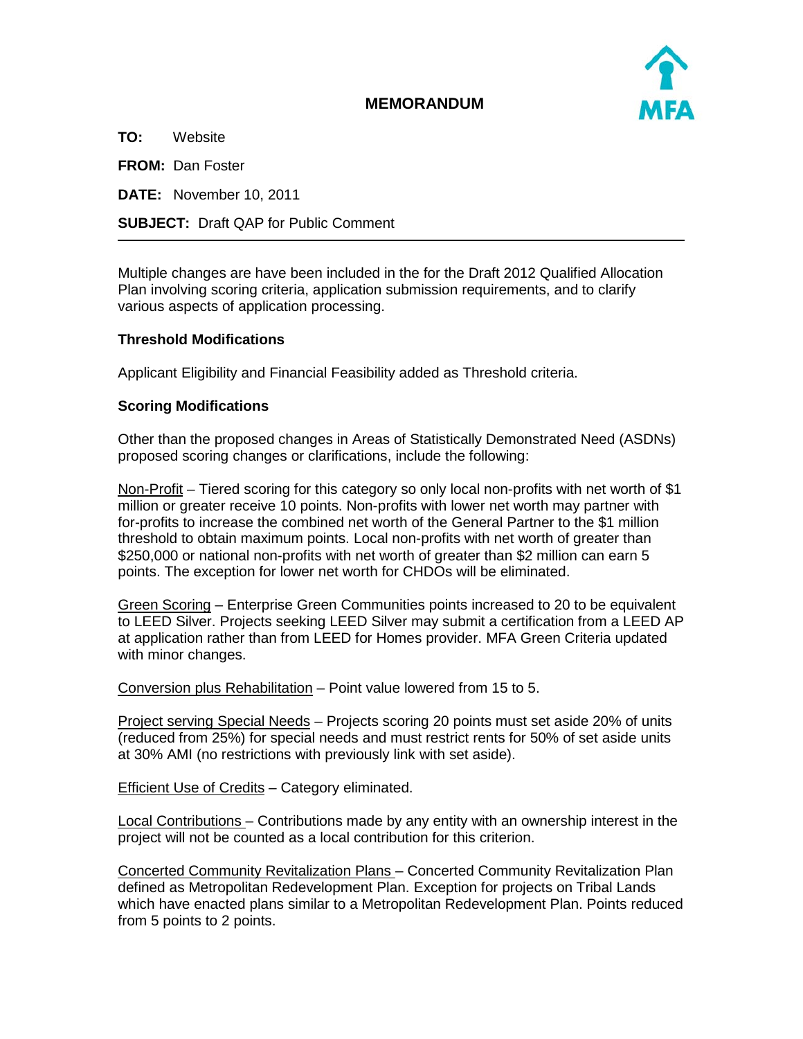

## **MEMORANDUM**

**TO:** Website **FROM:** Dan Foster **DATE:** November 10, 2011 **SUBJECT:** Draft QAP for Public Comment

Multiple changes are have been included in the for the Draft 2012 Qualified Allocation Plan involving scoring criteria, application submission requirements, and to clarify various aspects of application processing.

## **Threshold Modifications**

Applicant Eligibility and Financial Feasibility added as Threshold criteria.

## **Scoring Modifications**

Other than the proposed changes in Areas of Statistically Demonstrated Need (ASDNs) proposed scoring changes or clarifications, include the following:

Non-Profit – Tiered scoring for this category so only local non-profits with net worth of \$1 million or greater receive 10 points. Non-profits with lower net worth may partner with for-profits to increase the combined net worth of the General Partner to the \$1 million threshold to obtain maximum points. Local non-profits with net worth of greater than \$250,000 or national non-profits with net worth of greater than \$2 million can earn 5 points. The exception for lower net worth for CHDOs will be eliminated.

Green Scoring – Enterprise Green Communities points increased to 20 to be equivalent to LEED Silver. Projects seeking LEED Silver may submit a certification from a LEED AP at application rather than from LEED for Homes provider. MFA Green Criteria updated with minor changes.

Conversion plus Rehabilitation – Point value lowered from 15 to 5.

Project serving Special Needs - Projects scoring 20 points must set aside 20% of units (reduced from 25%) for special needs and must restrict rents for 50% of set aside units at 30% AMI (no restrictions with previously link with set aside).

Efficient Use of Credits – Category eliminated.

Local Contributions – Contributions made by any entity with an ownership interest in the project will not be counted as a local contribution for this criterion.

Concerted Community Revitalization Plans – Concerted Community Revitalization Plan defined as Metropolitan Redevelopment Plan. Exception for projects on Tribal Lands which have enacted plans similar to a Metropolitan Redevelopment Plan. Points reduced from 5 points to 2 points.